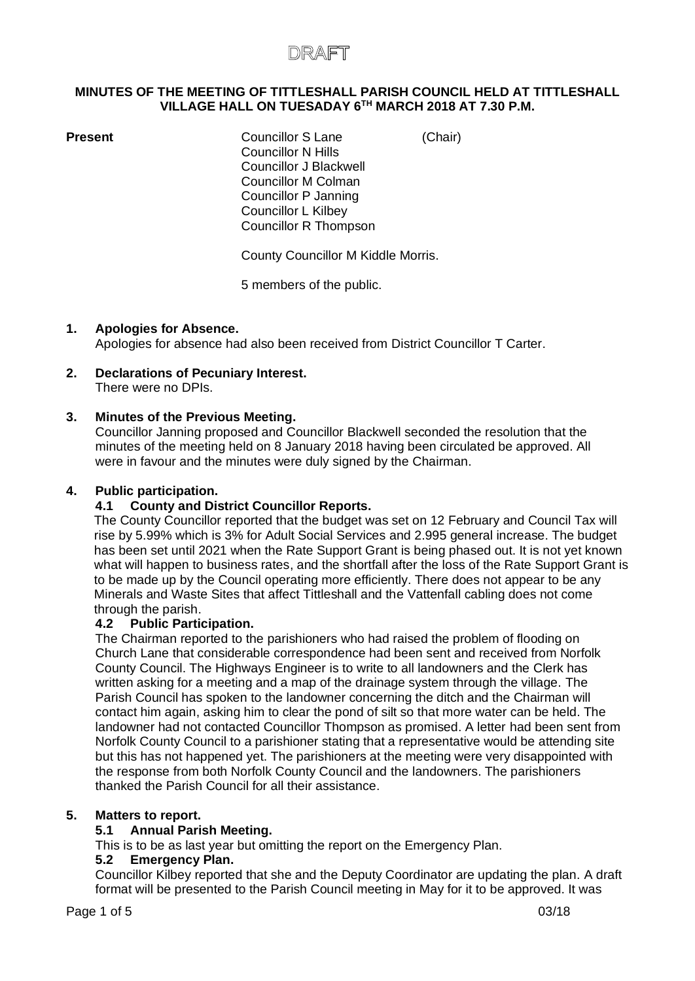#### **MINUTES OF THE MEETING OF TITTLESHALL PARISH COUNCIL HELD AT TITTLESHALL VILLAGE HALL ON TUESADAY 6TH MARCH 2018 AT 7.30 P.M.**

**Present** Councillor S Lane (Chair) Councillor N Hills Councillor J Blackwell Councillor M Colman Councillor P Janning Councillor L Kilbey Councillor R Thompson

County Councillor M Kiddle Morris.

5 members of the public.

#### **1. Apologies for Absence.**

Apologies for absence had also been received from District Councillor T Carter.

**2. Declarations of Pecuniary Interest.** There were no DPIs.

#### **3. Minutes of the Previous Meeting.**

Councillor Janning proposed and Councillor Blackwell seconded the resolution that the minutes of the meeting held on 8 January 2018 having been circulated be approved. All were in favour and the minutes were duly signed by the Chairman.

#### **4. Public participation.**

#### **4.1 County and District Councillor Reports.**

The County Councillor reported that the budget was set on 12 February and Council Tax will rise by 5.99% which is 3% for Adult Social Services and 2.995 general increase. The budget has been set until 2021 when the Rate Support Grant is being phased out. It is not yet known what will happen to business rates, and the shortfall after the loss of the Rate Support Grant is to be made up by the Council operating more efficiently. There does not appear to be any Minerals and Waste Sites that affect Tittleshall and the Vattenfall cabling does not come through the parish.

#### **4.2 Public Participation.**

The Chairman reported to the parishioners who had raised the problem of flooding on Church Lane that considerable correspondence had been sent and received from Norfolk County Council. The Highways Engineer is to write to all landowners and the Clerk has written asking for a meeting and a map of the drainage system through the village. The Parish Council has spoken to the landowner concerning the ditch and the Chairman will contact him again, asking him to clear the pond of silt so that more water can be held. The landowner had not contacted Councillor Thompson as promised. A letter had been sent from Norfolk County Council to a parishioner stating that a representative would be attending site but this has not happened yet. The parishioners at the meeting were very disappointed with the response from both Norfolk County Council and the landowners. The parishioners thanked the Parish Council for all their assistance.

#### **5. Matters to report.**

#### **5.1 Annual Parish Meeting.**

This is to be as last year but omitting the report on the Emergency Plan.

#### **5.2 Emergency Plan.**

Councillor Kilbey reported that she and the Deputy Coordinator are updating the plan. A draft format will be presented to the Parish Council meeting in May for it to be approved. It was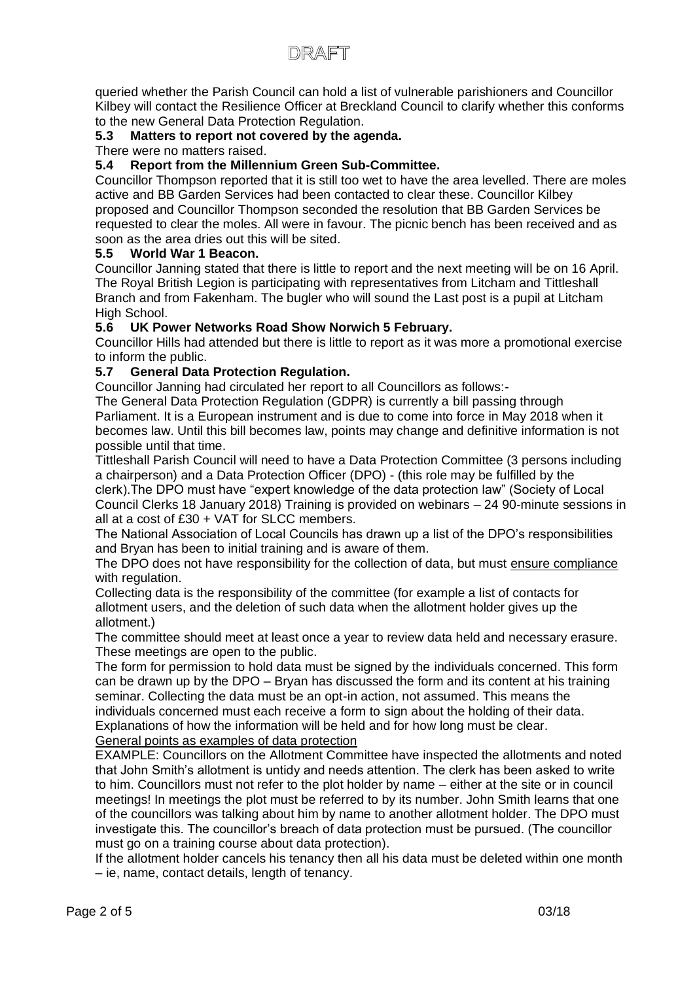queried whether the Parish Council can hold a list of vulnerable parishioners and Councillor Kilbey will contact the Resilience Officer at Breckland Council to clarify whether this conforms to the new General Data Protection Regulation.

### **5.3 Matters to report not covered by the agenda.**

There were no matters raised.

#### **5.4 Report from the Millennium Green Sub-Committee.**

Councillor Thompson reported that it is still too wet to have the area levelled. There are moles active and BB Garden Services had been contacted to clear these. Councillor Kilbey proposed and Councillor Thompson seconded the resolution that BB Garden Services be requested to clear the moles. All were in favour. The picnic bench has been received and as soon as the area dries out this will be sited.

#### **5.5 World War 1 Beacon.**

Councillor Janning stated that there is little to report and the next meeting will be on 16 April. The Royal British Legion is participating with representatives from Litcham and Tittleshall Branch and from Fakenham. The bugler who will sound the Last post is a pupil at Litcham High School.<br>5.6 UK Po

#### **5.6 UK Power Networks Road Show Norwich 5 February.**

Councillor Hills had attended but there is little to report as it was more a promotional exercise to inform the public.

#### **5.7 General Data Protection Regulation.**

Councillor Janning had circulated her report to all Councillors as follows:-

The General Data Protection Regulation (GDPR) is currently a bill passing through Parliament. It is a European instrument and is due to come into force in May 2018 when it becomes law. Until this bill becomes law, points may change and definitive information is not possible until that time.

Tittleshall Parish Council will need to have a Data Protection Committee (3 persons including a chairperson) and a Data Protection Officer (DPO) - (this role may be fulfilled by the clerk).The DPO must have "expert knowledge of the data protection law" (Society of Local Council Clerks 18 January 2018) Training is provided on webinars – 24 90-minute sessions in all at a cost of £30 + VAT for SLCC members.

The National Association of Local Councils has drawn up a list of the DPO's responsibilities and Bryan has been to initial training and is aware of them.

The DPO does not have responsibility for the collection of data, but must ensure compliance with regulation.

Collecting data is the responsibility of the committee (for example a list of contacts for allotment users, and the deletion of such data when the allotment holder gives up the allotment.)

The committee should meet at least once a year to review data held and necessary erasure. These meetings are open to the public.

The form for permission to hold data must be signed by the individuals concerned. This form can be drawn up by the DPO – Bryan has discussed the form and its content at his training seminar. Collecting the data must be an opt-in action, not assumed. This means the individuals concerned must each receive a form to sign about the holding of their data. Explanations of how the information will be held and for how long must be clear.

General points as examples of data protection

EXAMPLE: Councillors on the Allotment Committee have inspected the allotments and noted that John Smith's allotment is untidy and needs attention. The clerk has been asked to write to him. Councillors must not refer to the plot holder by name – either at the site or in council meetings! In meetings the plot must be referred to by its number. John Smith learns that one of the councillors was talking about him by name to another allotment holder. The DPO must investigate this. The councillor's breach of data protection must be pursued. (The councillor must go on a training course about data protection).

If the allotment holder cancels his tenancy then all his data must be deleted within one month – ie, name, contact details, length of tenancy.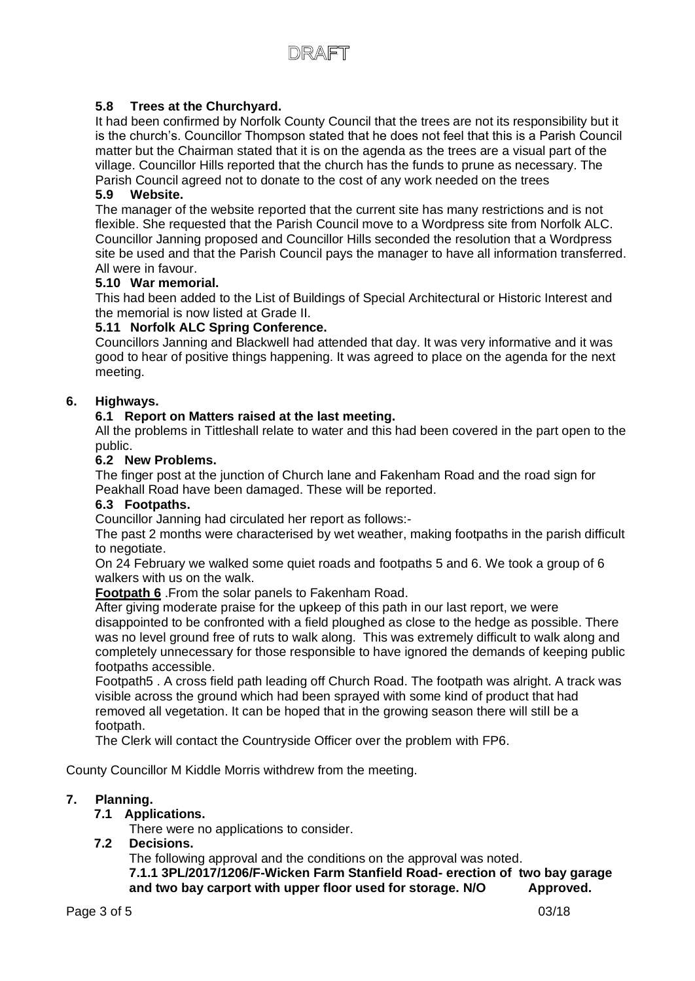### **5.8 Trees at the Churchyard.**

It had been confirmed by Norfolk County Council that the trees are not its responsibility but it is the church's. Councillor Thompson stated that he does not feel that this is a Parish Council matter but the Chairman stated that it is on the agenda as the trees are a visual part of the village. Councillor Hills reported that the church has the funds to prune as necessary. The Parish Council agreed not to donate to the cost of any work needed on the trees

#### **5.9 Website.**

The manager of the website reported that the current site has many restrictions and is not flexible. She requested that the Parish Council move to a Wordpress site from Norfolk ALC. Councillor Janning proposed and Councillor Hills seconded the resolution that a Wordpress site be used and that the Parish Council pays the manager to have all information transferred. All were in favour.

#### **5.10 War memorial.**

This had been added to the List of Buildings of Special Architectural or Historic Interest and the memorial is now listed at Grade II.

#### **5.11 Norfolk ALC Spring Conference.**

Councillors Janning and Blackwell had attended that day. It was very informative and it was good to hear of positive things happening. It was agreed to place on the agenda for the next meeting.

#### **6. Highways.**

#### **6.1 Report on Matters raised at the last meeting.**

All the problems in Tittleshall relate to water and this had been covered in the part open to the public.

#### **6.2 New Problems.**

The finger post at the junction of Church lane and Fakenham Road and the road sign for Peakhall Road have been damaged. These will be reported.

### **6.3 Footpaths.**

Councillor Janning had circulated her report as follows:-

The past 2 months were characterised by wet weather, making footpaths in the parish difficult to negotiate.

On 24 February we walked some quiet roads and footpaths 5 and 6. We took a group of 6 walkers with us on the walk.

**Footpath 6** .From the solar panels to Fakenham Road.

After giving moderate praise for the upkeep of this path in our last report, we were disappointed to be confronted with a field ploughed as close to the hedge as possible. There was no level ground free of ruts to walk along. This was extremely difficult to walk along and completely unnecessary for those responsible to have ignored the demands of keeping public footpaths accessible.

Footpath5 . A cross field path leading off Church Road. The footpath was alright. A track was visible across the ground which had been sprayed with some kind of product that had removed all vegetation. It can be hoped that in the growing season there will still be a footpath.

The Clerk will contact the Countryside Officer over the problem with FP6.

County Councillor M Kiddle Morris withdrew from the meeting.

#### **7. Planning.**

#### **7.1 Applications.**

There were no applications to consider.

**7.2 Decisions.**

The following approval and the conditions on the approval was noted. **7.1.1 3PL/2017/1206/F-Wicken Farm Stanfield Road- erection of two bay garage and two bay carport with upper floor used for storage. N/O Approved.**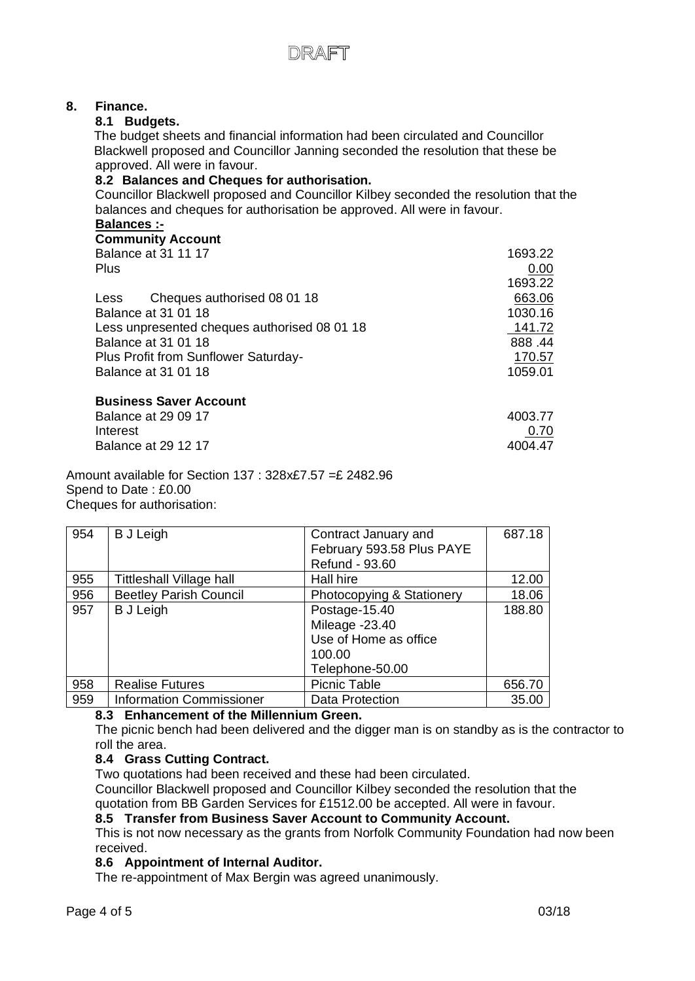# DRAF

#### **8. Finance.**

#### **8.1 Budgets.**

The budget sheets and financial information had been circulated and Councillor Blackwell proposed and Councillor Janning seconded the resolution that these be approved. All were in favour.

#### **8.2 Balances and Cheques for authorisation.**

Councillor Blackwell proposed and Councillor Kilbey seconded the resolution that the balances and cheques for authorisation be approved. All were in favour.

## **Balances :-**

| <b>Community Account</b>                     |         |
|----------------------------------------------|---------|
| Balance at 31 11 17                          | 1693.22 |
| Plus                                         | 0.00    |
|                                              | 1693.22 |
| Cheques authorised 08 01 18<br>Less          | 663.06  |
| Balance at 31 01 18                          | 1030.16 |
| Less unpresented cheques authorised 08 01 18 | 141.72  |
| Balance at 31 01 18                          | 888.44  |
| <b>Plus Profit from Sunflower Saturday-</b>  | 170.57  |
| Balance at 31 01 18                          | 1059.01 |
| <b>Business Saver Account</b>                |         |
| Balance at 29 09 17                          | 4003    |
|                                              |         |

Interest **0.70** Balance at 29.12.17 **1004.47 1004.47 1004.47** 

Amount available for Section 137 : 328x£7.57 =£ 2482.96 Spend to Date : £0.00 Cheques for authorisation:

| 954 | <b>B</b> J Leigh                | Contract January and      | 687.18 |
|-----|---------------------------------|---------------------------|--------|
|     |                                 | February 593.58 Plus PAYE |        |
|     |                                 | Refund - 93.60            |        |
| 955 | <b>Tittleshall Village hall</b> | Hall hire                 | 12.00  |
| 956 | <b>Beetley Parish Council</b>   | Photocopying & Stationery | 18.06  |
| 957 | <b>B</b> J Leigh                | Postage-15.40             | 188.80 |
|     |                                 | Mileage -23.40            |        |
|     |                                 | Use of Home as office     |        |
|     |                                 | 100.00                    |        |
|     |                                 | Telephone-50.00           |        |
| 958 | <b>Realise Futures</b>          | Picnic Table              | 656.70 |
| 959 | <b>Information Commissioner</b> | Data Protection           | 35.00  |

#### **8.3 Enhancement of the Millennium Green.**

The picnic bench had been delivered and the digger man is on standby as is the contractor to roll the area.

## **8.4 Grass Cutting Contract.**

Two quotations had been received and these had been circulated.

Councillor Blackwell proposed and Councillor Kilbey seconded the resolution that the quotation from BB Garden Services for £1512.00 be accepted. All were in favour.

## **8.5 Transfer from Business Saver Account to Community Account.**

This is not now necessary as the grants from Norfolk Community Foundation had now been received.

#### **8.6 Appointment of Internal Auditor.**

The re-appointment of Max Bergin was agreed unanimously.